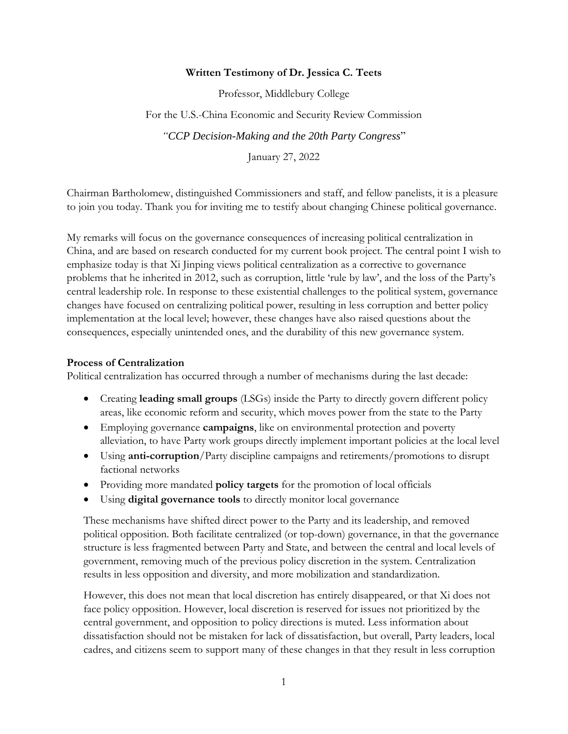#### **Written Testimony of Dr. Jessica C. Teets**

Professor, Middlebury College

For the U.S.-China Economic and Security Review Commission

*"CCP Decision-Making and the 20th Party Congress*"

January 27, 2022

Chairman Bartholomew, distinguished Commissioners and staff, and fellow panelists, it is a pleasure to join you today. Thank you for inviting me to testify about changing Chinese political governance.

My remarks will focus on the governance consequences of increasing political centralization in China, and are based on research conducted for my current book project. The central point I wish to emphasize today is that Xi Jinping views political centralization as a corrective to governance problems that he inherited in 2012, such as corruption, little 'rule by law', and the loss of the Party's central leadership role. In response to these existential challenges to the political system, governance changes have focused on centralizing political power, resulting in less corruption and better policy implementation at the local level; however, these changes have also raised questions about the consequences, especially unintended ones, and the durability of this new governance system.

### **Process of Centralization**

Political centralization has occurred through a number of mechanisms during the last decade:

- Creating **leading small groups** (LSGs) inside the Party to directly govern different policy areas, like economic reform and security, which moves power from the state to the Party
- Employing governance **campaigns**, like on environmental protection and poverty alleviation, to have Party work groups directly implement important policies at the local level
- Using **anti-corruption**/Party discipline campaigns and retirements/promotions to disrupt factional networks
- Providing more mandated **policy targets** for the promotion of local officials
- Using **digital governance tools** to directly monitor local governance

These mechanisms have shifted direct power to the Party and its leadership, and removed political opposition. Both facilitate centralized (or top-down) governance, in that the governance structure is less fragmented between Party and State, and between the central and local levels of government, removing much of the previous policy discretion in the system. Centralization results in less opposition and diversity, and more mobilization and standardization.

However, this does not mean that local discretion has entirely disappeared, or that Xi does not face policy opposition. However, local discretion is reserved for issues not prioritized by the central government, and opposition to policy directions is muted. Less information about dissatisfaction should not be mistaken for lack of dissatisfaction, but overall, Party leaders, local cadres, and citizens seem to support many of these changes in that they result in less corruption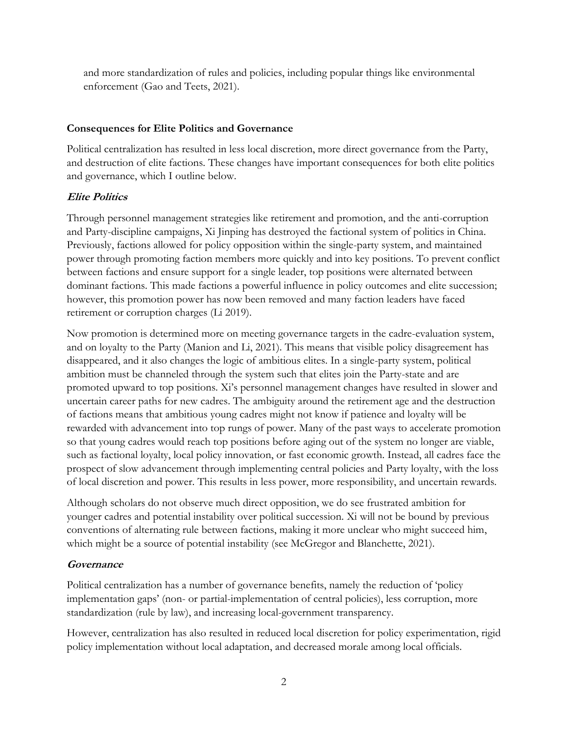and more standardization of rules and policies, including popular things like environmental enforcement (Gao and Teets, 2021).

## **Consequences for Elite Politics and Governance**

Political centralization has resulted in less local discretion, more direct governance from the Party, and destruction of elite factions. These changes have important consequences for both elite politics and governance, which I outline below.

## **Elite Politics**

Through personnel management strategies like retirement and promotion, and the anti-corruption and Party-discipline campaigns, Xi Jinping has destroyed the factional system of politics in China. Previously, factions allowed for policy opposition within the single-party system, and maintained power through promoting faction members more quickly and into key positions. To prevent conflict between factions and ensure support for a single leader, top positions were alternated between dominant factions. This made factions a powerful influence in policy outcomes and elite succession; however, this promotion power has now been removed and many faction leaders have faced retirement or corruption charges (Li 2019).

Now promotion is determined more on meeting governance targets in the cadre-evaluation system, and on loyalty to the Party (Manion and Li, 2021). This means that visible policy disagreement has disappeared, and it also changes the logic of ambitious elites. In a single-party system, political ambition must be channeled through the system such that elites join the Party-state and are promoted upward to top positions. Xi's personnel management changes have resulted in slower and uncertain career paths for new cadres. The ambiguity around the retirement age and the destruction of factions means that ambitious young cadres might not know if patience and loyalty will be rewarded with advancement into top rungs of power. Many of the past ways to accelerate promotion so that young cadres would reach top positions before aging out of the system no longer are viable, such as factional loyalty, local policy innovation, or fast economic growth. Instead, all cadres face the prospect of slow advancement through implementing central policies and Party loyalty, with the loss of local discretion and power. This results in less power, more responsibility, and uncertain rewards.

Although scholars do not observe much direct opposition, we do see frustrated ambition for younger cadres and potential instability over political succession. Xi will not be bound by previous conventions of alternating rule between factions, making it more unclear who might succeed him, which might be a source of potential instability (see McGregor and Blanchette, 2021).

# **Governance**

Political centralization has a number of governance benefits, namely the reduction of 'policy implementation gaps' (non- or partial-implementation of central policies), less corruption, more standardization (rule by law), and increasing local-government transparency.

However, centralization has also resulted in reduced local discretion for policy experimentation, rigid policy implementation without local adaptation, and decreased morale among local officials.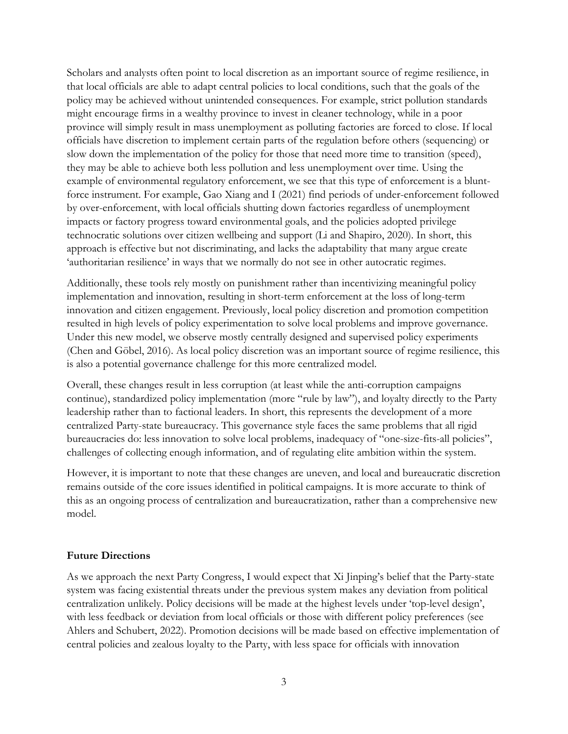Scholars and analysts often point to local discretion as an important source of regime resilience, in that local officials are able to adapt central policies to local conditions, such that the goals of the policy may be achieved without unintended consequences. For example, strict pollution standards might encourage firms in a wealthy province to invest in cleaner technology, while in a poor province will simply result in mass unemployment as polluting factories are forced to close. If local officials have discretion to implement certain parts of the regulation before others (sequencing) or slow down the implementation of the policy for those that need more time to transition (speed), they may be able to achieve both less pollution and less unemployment over time. Using the example of environmental regulatory enforcement, we see that this type of enforcement is a bluntforce instrument. For example, Gao Xiang and I (2021) find periods of under-enforcement followed by over-enforcement, with local officials shutting down factories regardless of unemployment impacts or factory progress toward environmental goals, and the policies adopted privilege technocratic solutions over citizen wellbeing and support (Li and Shapiro, 2020). In short, this approach is effective but not discriminating, and lacks the adaptability that many argue create 'authoritarian resilience' in ways that we normally do not see in other autocratic regimes.

Additionally, these tools rely mostly on punishment rather than incentivizing meaningful policy implementation and innovation, resulting in short-term enforcement at the loss of long-term innovation and citizen engagement. Previously, local policy discretion and promotion competition resulted in high levels of policy experimentation to solve local problems and improve governance. Under this new model, we observe mostly centrally designed and supervised policy experiments (Chen and Göbel, 2016). As local policy discretion was an important source of regime resilience, this is also a potential governance challenge for this more centralized model.

Overall, these changes result in less corruption (at least while the anti-corruption campaigns continue), standardized policy implementation (more "rule by law"), and loyalty directly to the Party leadership rather than to factional leaders. In short, this represents the development of a more centralized Party-state bureaucracy. This governance style faces the same problems that all rigid bureaucracies do: less innovation to solve local problems, inadequacy of "one-size-fits-all policies", challenges of collecting enough information, and of regulating elite ambition within the system.

However, it is important to note that these changes are uneven, and local and bureaucratic discretion remains outside of the core issues identified in political campaigns. It is more accurate to think of this as an ongoing process of centralization and bureaucratization, rather than a comprehensive new model.

### **Future Directions**

As we approach the next Party Congress, I would expect that Xi Jinping's belief that the Party-state system was facing existential threats under the previous system makes any deviation from political centralization unlikely. Policy decisions will be made at the highest levels under 'top-level design', with less feedback or deviation from local officials or those with different policy preferences (see Ahlers and Schubert, 2022). Promotion decisions will be made based on effective implementation of central policies and zealous loyalty to the Party, with less space for officials with innovation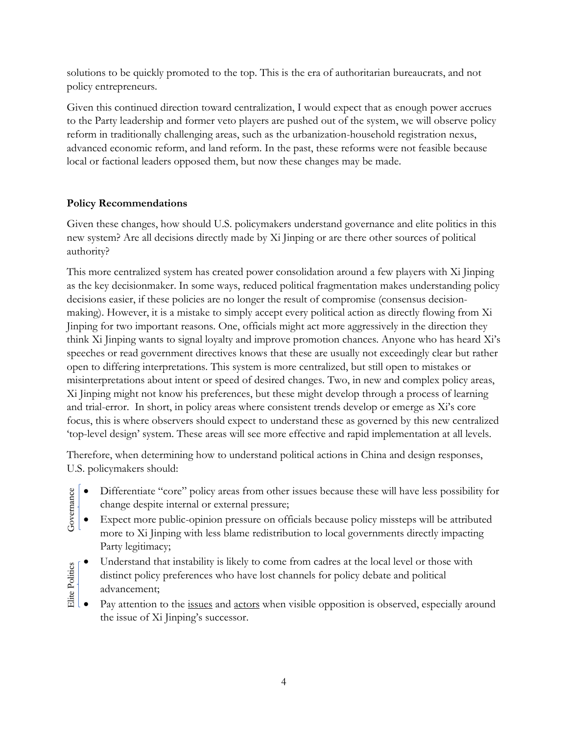solutions to be quickly promoted to the top. This is the era of authoritarian bureaucrats, and not policy entrepreneurs.

Given this continued direction toward centralization, I would expect that as enough power accrues to the Party leadership and former veto players are pushed out of the system, we will observe policy reform in traditionally challenging areas, such as the urbanization-household registration nexus, advanced economic reform, and land reform. In the past, these reforms were not feasible because local or factional leaders opposed them, but now these changes may be made.

# **Policy Recommendations**

Given these changes, how should U.S. policymakers understand governance and elite politics in this new system? Are all decisions directly made by Xi Jinping or are there other sources of political authority?

This more centralized system has created power consolidation around a few players with Xi Jinping as the key decisionmaker. In some ways, reduced political fragmentation makes understanding policy decisions easier, if these policies are no longer the result of compromise (consensus decisionmaking). However, it is a mistake to simply accept every political action as directly flowing from Xi Jinping for two important reasons. One, officials might act more aggressively in the direction they think Xi Jinping wants to signal loyalty and improve promotion chances. Anyone who has heard Xi's speeches or read government directives knows that these are usually not exceedingly clear but rather open to differing interpretations. This system is more centralized, but still open to mistakes or misinterpretations about intent or speed of desired changes. Two, in new and complex policy areas, Xi Jinping might not know his preferences, but these might develop through a process of learning and trial-error. In short, in policy areas where consistent trends develop or emerge as Xi's core focus, this is where observers should expect to understand these as governed by this new centralized 'top-level design' system. These areas will see more effective and rapid implementation at all levels.

Therefore, when determining how to understand political actions in China and design responses, U.S. policymakers should:

- Differentiate "core" policy areas from other issues because these will have less possibility for change despite internal or external pressure; nance
- Expect more public-opinion pressure on officials because policy missteps will be attributed more to Xi Jinping with less blame redistribution to local governments directly impacting Party legitimacy; Gover
- Understand that instability is likely to come from cadres at the local level or those with Elite Politics Elite Politicsdistinct policy preferences who have lost channels for policy debate and political advancement;
	- Pay attention to the issues and actors when visible opposition is observed, especially around the issue of Xi Jinping's successor.